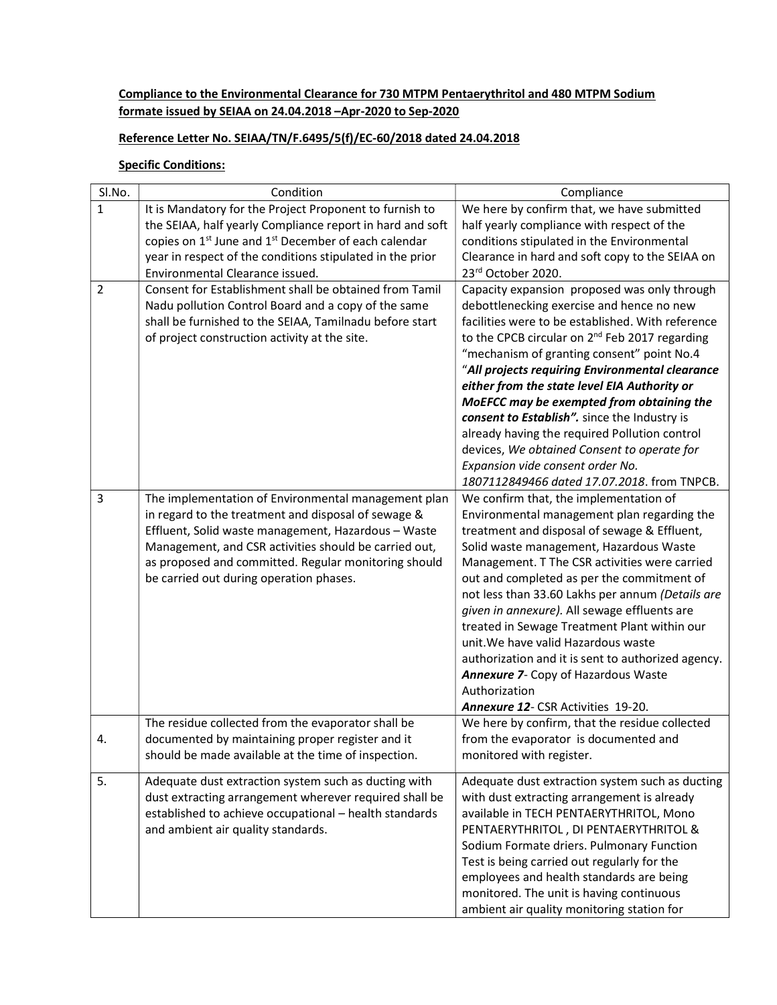## Compliance to the Environmental Clearance for 730 MTPM Pentaerythritol and 480 MTPM Sodium formate issued by SEIAA on 24.04.2018 –Apr-2020 to Sep-2020

## Reference Letter No. SEIAA/TN/F.6495/5(f)/EC-60/2018 dated 24.04.2018

## **Specific Conditions:**

| SI.No.         | Condition                                                                                                                                                                                                                                                                                                                                                                           | Compliance                                                                                                                                                                                                                                                                                                                                                                                                                                                                                                                                                                                                                                                                             |
|----------------|-------------------------------------------------------------------------------------------------------------------------------------------------------------------------------------------------------------------------------------------------------------------------------------------------------------------------------------------------------------------------------------|----------------------------------------------------------------------------------------------------------------------------------------------------------------------------------------------------------------------------------------------------------------------------------------------------------------------------------------------------------------------------------------------------------------------------------------------------------------------------------------------------------------------------------------------------------------------------------------------------------------------------------------------------------------------------------------|
| 1              | It is Mandatory for the Project Proponent to furnish to                                                                                                                                                                                                                                                                                                                             | We here by confirm that, we have submitted                                                                                                                                                                                                                                                                                                                                                                                                                                                                                                                                                                                                                                             |
|                | the SEIAA, half yearly Compliance report in hard and soft                                                                                                                                                                                                                                                                                                                           | half yearly compliance with respect of the                                                                                                                                                                                                                                                                                                                                                                                                                                                                                                                                                                                                                                             |
|                | copies on 1 <sup>st</sup> June and 1 <sup>st</sup> December of each calendar                                                                                                                                                                                                                                                                                                        | conditions stipulated in the Environmental                                                                                                                                                                                                                                                                                                                                                                                                                                                                                                                                                                                                                                             |
|                | year in respect of the conditions stipulated in the prior                                                                                                                                                                                                                                                                                                                           | Clearance in hard and soft copy to the SEIAA on                                                                                                                                                                                                                                                                                                                                                                                                                                                                                                                                                                                                                                        |
|                | Environmental Clearance issued.                                                                                                                                                                                                                                                                                                                                                     | 23rd October 2020.                                                                                                                                                                                                                                                                                                                                                                                                                                                                                                                                                                                                                                                                     |
| $\overline{2}$ | Consent for Establishment shall be obtained from Tamil<br>Nadu pollution Control Board and a copy of the same<br>shall be furnished to the SEIAA, Tamilnadu before start<br>of project construction activity at the site.                                                                                                                                                           | Capacity expansion proposed was only through<br>debottlenecking exercise and hence no new<br>facilities were to be established. With reference<br>to the CPCB circular on 2 <sup>nd</sup> Feb 2017 regarding<br>"mechanism of granting consent" point No.4<br>"All projects requiring Environmental clearance                                                                                                                                                                                                                                                                                                                                                                          |
|                |                                                                                                                                                                                                                                                                                                                                                                                     | either from the state level EIA Authority or                                                                                                                                                                                                                                                                                                                                                                                                                                                                                                                                                                                                                                           |
|                |                                                                                                                                                                                                                                                                                                                                                                                     | MoEFCC may be exempted from obtaining the                                                                                                                                                                                                                                                                                                                                                                                                                                                                                                                                                                                                                                              |
|                |                                                                                                                                                                                                                                                                                                                                                                                     | consent to Establish". since the Industry is                                                                                                                                                                                                                                                                                                                                                                                                                                                                                                                                                                                                                                           |
|                |                                                                                                                                                                                                                                                                                                                                                                                     | already having the required Pollution control                                                                                                                                                                                                                                                                                                                                                                                                                                                                                                                                                                                                                                          |
|                |                                                                                                                                                                                                                                                                                                                                                                                     | devices, We obtained Consent to operate for                                                                                                                                                                                                                                                                                                                                                                                                                                                                                                                                                                                                                                            |
|                |                                                                                                                                                                                                                                                                                                                                                                                     | Expansion vide consent order No.                                                                                                                                                                                                                                                                                                                                                                                                                                                                                                                                                                                                                                                       |
|                |                                                                                                                                                                                                                                                                                                                                                                                     | 1807112849466 dated 17.07.2018. from TNPCB.                                                                                                                                                                                                                                                                                                                                                                                                                                                                                                                                                                                                                                            |
| 3              | The implementation of Environmental management plan<br>in regard to the treatment and disposal of sewage &<br>Effluent, Solid waste management, Hazardous - Waste<br>Management, and CSR activities should be carried out,<br>as proposed and committed. Regular monitoring should<br>be carried out during operation phases.<br>The residue collected from the evaporator shall be | We confirm that, the implementation of<br>Environmental management plan regarding the<br>treatment and disposal of sewage & Effluent,<br>Solid waste management, Hazardous Waste<br>Management. T The CSR activities were carried<br>out and completed as per the commitment of<br>not less than 33.60 Lakhs per annum (Details are<br>given in annexure). All sewage effluents are<br>treated in Sewage Treatment Plant within our<br>unit. We have valid Hazardous waste<br>authorization and it is sent to authorized agency.<br>Annexure 7- Copy of Hazardous Waste<br>Authorization<br><b>Annexure 12-CSR Activities 19-20.</b><br>We here by confirm, that the residue collected |
| 4.             | documented by maintaining proper register and it<br>should be made available at the time of inspection.                                                                                                                                                                                                                                                                             | from the evaporator is documented and<br>monitored with register.                                                                                                                                                                                                                                                                                                                                                                                                                                                                                                                                                                                                                      |
| 5.             | Adequate dust extraction system such as ducting with<br>dust extracting arrangement wherever required shall be<br>established to achieve occupational - health standards<br>and ambient air quality standards.                                                                                                                                                                      | Adequate dust extraction system such as ducting<br>with dust extracting arrangement is already<br>available in TECH PENTAERYTHRITOL, Mono<br>PENTAERYTHRITOL, DI PENTAERYTHRITOL &<br>Sodium Formate driers. Pulmonary Function<br>Test is being carried out regularly for the<br>employees and health standards are being<br>monitored. The unit is having continuous<br>ambient air quality monitoring station for                                                                                                                                                                                                                                                                   |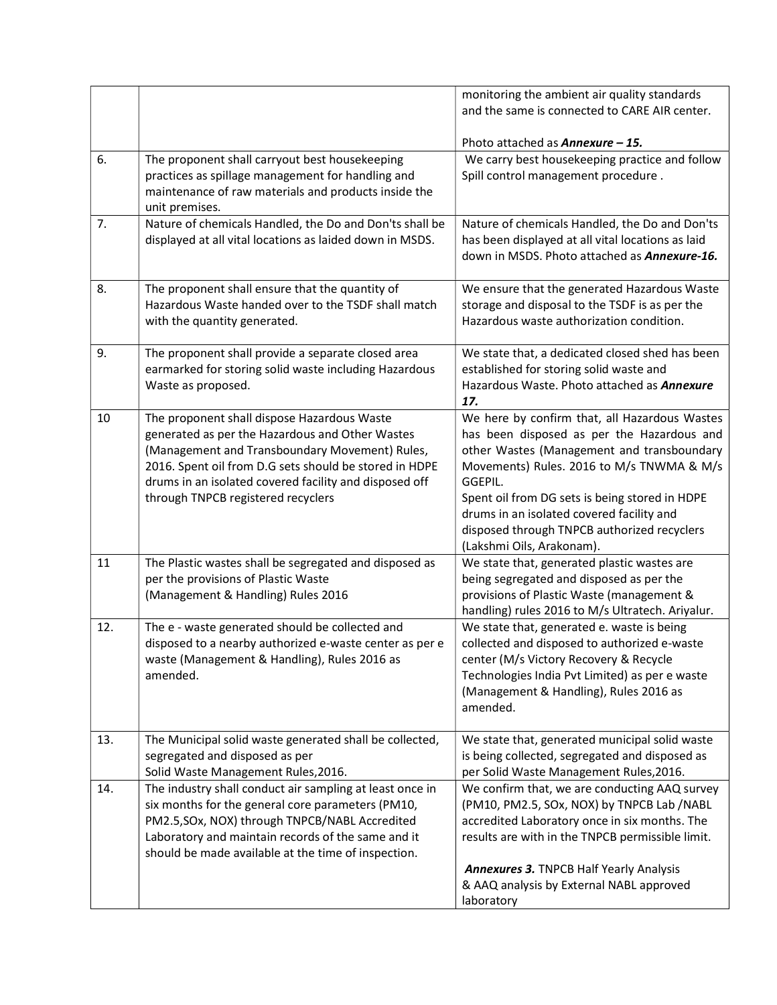|     |                                                                                                                                                                                                                                                                                                            | monitoring the ambient air quality standards                                                                                                                                                                                                                                                                                                                                 |
|-----|------------------------------------------------------------------------------------------------------------------------------------------------------------------------------------------------------------------------------------------------------------------------------------------------------------|------------------------------------------------------------------------------------------------------------------------------------------------------------------------------------------------------------------------------------------------------------------------------------------------------------------------------------------------------------------------------|
|     |                                                                                                                                                                                                                                                                                                            | and the same is connected to CARE AIR center.                                                                                                                                                                                                                                                                                                                                |
|     |                                                                                                                                                                                                                                                                                                            |                                                                                                                                                                                                                                                                                                                                                                              |
|     |                                                                                                                                                                                                                                                                                                            | Photo attached as <b>Annexure - 15.</b>                                                                                                                                                                                                                                                                                                                                      |
| 6.  | The proponent shall carryout best housekeeping<br>practices as spillage management for handling and<br>maintenance of raw materials and products inside the<br>unit premises.                                                                                                                              | We carry best housekeeping practice and follow<br>Spill control management procedure.                                                                                                                                                                                                                                                                                        |
| 7.  | Nature of chemicals Handled, the Do and Don'ts shall be<br>displayed at all vital locations as laided down in MSDS.                                                                                                                                                                                        | Nature of chemicals Handled, the Do and Don'ts<br>has been displayed at all vital locations as laid<br>down in MSDS. Photo attached as <b>Annexure-16.</b>                                                                                                                                                                                                                   |
| 8.  | The proponent shall ensure that the quantity of<br>Hazardous Waste handed over to the TSDF shall match<br>with the quantity generated.                                                                                                                                                                     | We ensure that the generated Hazardous Waste<br>storage and disposal to the TSDF is as per the<br>Hazardous waste authorization condition.                                                                                                                                                                                                                                   |
| 9.  | The proponent shall provide a separate closed area<br>earmarked for storing solid waste including Hazardous<br>Waste as proposed.                                                                                                                                                                          | We state that, a dedicated closed shed has been<br>established for storing solid waste and<br>Hazardous Waste. Photo attached as Annexure<br>17.                                                                                                                                                                                                                             |
| 10  | The proponent shall dispose Hazardous Waste<br>generated as per the Hazardous and Other Wastes<br>(Management and Transboundary Movement) Rules,<br>2016. Spent oil from D.G sets should be stored in HDPE<br>drums in an isolated covered facility and disposed off<br>through TNPCB registered recyclers | We here by confirm that, all Hazardous Wastes<br>has been disposed as per the Hazardous and<br>other Wastes (Management and transboundary<br>Movements) Rules. 2016 to M/s TNWMA & M/s<br>GGEPIL.<br>Spent oil from DG sets is being stored in HDPE<br>drums in an isolated covered facility and<br>disposed through TNPCB authorized recyclers<br>(Lakshmi Oils, Arakonam). |
| 11  | The Plastic wastes shall be segregated and disposed as<br>per the provisions of Plastic Waste<br>(Management & Handling) Rules 2016                                                                                                                                                                        | We state that, generated plastic wastes are<br>being segregated and disposed as per the<br>provisions of Plastic Waste (management &<br>handling) rules 2016 to M/s Ultratech. Ariyalur.                                                                                                                                                                                     |
| 12. | The e - waste generated should be collected and<br>disposed to a nearby authorized e-waste center as per e<br>waste (Management & Handling), Rules 2016 as<br>amended.                                                                                                                                     | We state that, generated e. waste is being<br>collected and disposed to authorized e-waste<br>center (M/s Victory Recovery & Recycle<br>Technologies India Pvt Limited) as per e waste<br>(Management & Handling), Rules 2016 as<br>amended.                                                                                                                                 |
| 13. | The Municipal solid waste generated shall be collected,<br>segregated and disposed as per<br>Solid Waste Management Rules, 2016.                                                                                                                                                                           | We state that, generated municipal solid waste<br>is being collected, segregated and disposed as<br>per Solid Waste Management Rules, 2016.                                                                                                                                                                                                                                  |
| 14. | The industry shall conduct air sampling at least once in<br>six months for the general core parameters (PM10,<br>PM2.5, SOx, NOX) through TNPCB/NABL Accredited<br>Laboratory and maintain records of the same and it<br>should be made available at the time of inspection.                               | We confirm that, we are conducting AAQ survey<br>(PM10, PM2.5, SOx, NOX) by TNPCB Lab /NABL<br>accredited Laboratory once in six months. The<br>results are with in the TNPCB permissible limit.<br><b>Annexures 3. TNPCB Half Yearly Analysis</b><br>& AAQ analysis by External NABL approved<br>laboratory                                                                 |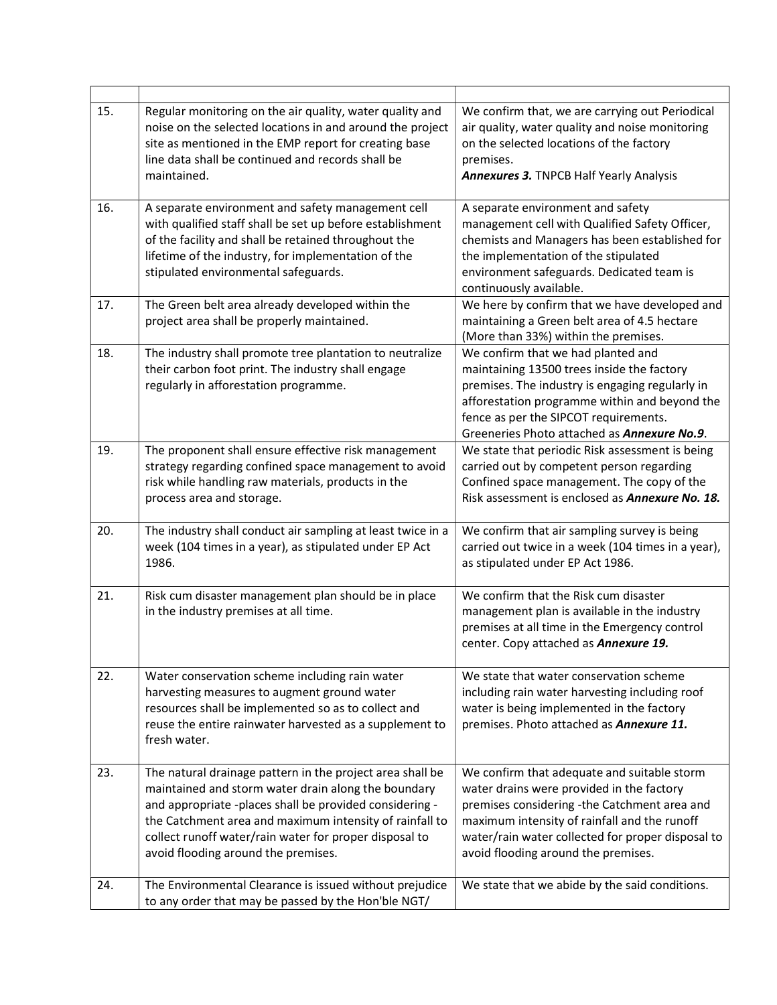| 15. | Regular monitoring on the air quality, water quality and<br>noise on the selected locations in and around the project<br>site as mentioned in the EMP report for creating base<br>line data shall be continued and records shall be<br>maintained.                                                                                      | We confirm that, we are carrying out Periodical<br>air quality, water quality and noise monitoring<br>on the selected locations of the factory<br>premises.<br><b>Annexures 3. TNPCB Half Yearly Analysis</b>                                                                        |
|-----|-----------------------------------------------------------------------------------------------------------------------------------------------------------------------------------------------------------------------------------------------------------------------------------------------------------------------------------------|--------------------------------------------------------------------------------------------------------------------------------------------------------------------------------------------------------------------------------------------------------------------------------------|
| 16. | A separate environment and safety management cell<br>with qualified staff shall be set up before establishment<br>of the facility and shall be retained throughout the<br>lifetime of the industry, for implementation of the<br>stipulated environmental safeguards.                                                                   | A separate environment and safety<br>management cell with Qualified Safety Officer,<br>chemists and Managers has been established for<br>the implementation of the stipulated<br>environment safeguards. Dedicated team is<br>continuously available.                                |
| 17. | The Green belt area already developed within the<br>project area shall be properly maintained.                                                                                                                                                                                                                                          | We here by confirm that we have developed and<br>maintaining a Green belt area of 4.5 hectare<br>(More than 33%) within the premises.                                                                                                                                                |
| 18. | The industry shall promote tree plantation to neutralize<br>their carbon foot print. The industry shall engage<br>regularly in afforestation programme.                                                                                                                                                                                 | We confirm that we had planted and<br>maintaining 13500 trees inside the factory<br>premises. The industry is engaging regularly in<br>afforestation programme within and beyond the<br>fence as per the SIPCOT requirements.<br>Greeneries Photo attached as Annexure No.9.         |
| 19. | The proponent shall ensure effective risk management<br>strategy regarding confined space management to avoid<br>risk while handling raw materials, products in the<br>process area and storage.                                                                                                                                        | We state that periodic Risk assessment is being<br>carried out by competent person regarding<br>Confined space management. The copy of the<br>Risk assessment is enclosed as Annexure No. 18.                                                                                        |
| 20. | The industry shall conduct air sampling at least twice in a<br>week (104 times in a year), as stipulated under EP Act<br>1986.                                                                                                                                                                                                          | We confirm that air sampling survey is being<br>carried out twice in a week (104 times in a year),<br>as stipulated under EP Act 1986.                                                                                                                                               |
| 21. | Risk cum disaster management plan should be in place<br>in the industry premises at all time.                                                                                                                                                                                                                                           | We confirm that the Risk cum disaster<br>management plan is available in the industry<br>premises at all time in the Emergency control<br>center. Copy attached as Annexure 19.                                                                                                      |
| 22. | Water conservation scheme including rain water<br>harvesting measures to augment ground water<br>resources shall be implemented so as to collect and<br>reuse the entire rainwater harvested as a supplement to<br>fresh water.                                                                                                         | We state that water conservation scheme<br>including rain water harvesting including roof<br>water is being implemented in the factory<br>premises. Photo attached as Annexure 11.                                                                                                   |
| 23. | The natural drainage pattern in the project area shall be<br>maintained and storm water drain along the boundary<br>and appropriate -places shall be provided considering -<br>the Catchment area and maximum intensity of rainfall to<br>collect runoff water/rain water for proper disposal to<br>avoid flooding around the premises. | We confirm that adequate and suitable storm<br>water drains were provided in the factory<br>premises considering -the Catchment area and<br>maximum intensity of rainfall and the runoff<br>water/rain water collected for proper disposal to<br>avoid flooding around the premises. |
| 24. | The Environmental Clearance is issued without prejudice<br>to any order that may be passed by the Hon'ble NGT/                                                                                                                                                                                                                          | We state that we abide by the said conditions.                                                                                                                                                                                                                                       |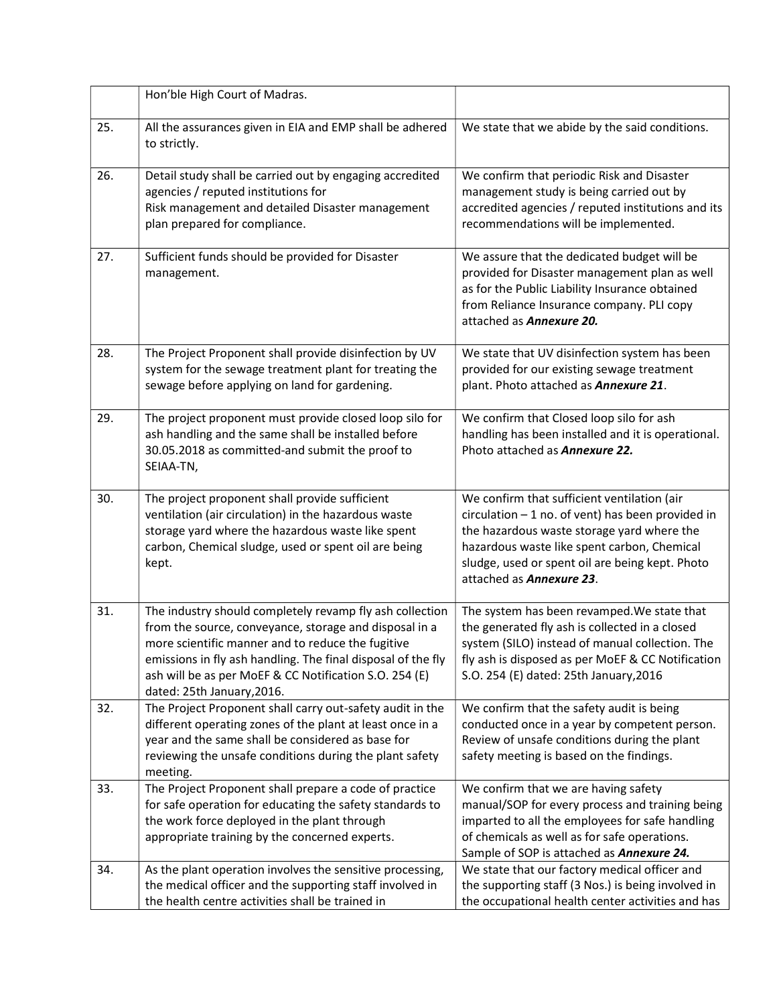|     | Hon'ble High Court of Madras.                                                                                                                                                                                                                                                                                                   |                                                                                                                                                                                                                                                                                        |
|-----|---------------------------------------------------------------------------------------------------------------------------------------------------------------------------------------------------------------------------------------------------------------------------------------------------------------------------------|----------------------------------------------------------------------------------------------------------------------------------------------------------------------------------------------------------------------------------------------------------------------------------------|
| 25. | All the assurances given in EIA and EMP shall be adhered<br>to strictly.                                                                                                                                                                                                                                                        | We state that we abide by the said conditions.                                                                                                                                                                                                                                         |
| 26. | Detail study shall be carried out by engaging accredited<br>agencies / reputed institutions for<br>Risk management and detailed Disaster management<br>plan prepared for compliance.                                                                                                                                            | We confirm that periodic Risk and Disaster<br>management study is being carried out by<br>accredited agencies / reputed institutions and its<br>recommendations will be implemented.                                                                                                   |
| 27. | Sufficient funds should be provided for Disaster<br>management.                                                                                                                                                                                                                                                                 | We assure that the dedicated budget will be<br>provided for Disaster management plan as well<br>as for the Public Liability Insurance obtained<br>from Reliance Insurance company. PLI copy<br>attached as Annexure 20.                                                                |
| 28. | The Project Proponent shall provide disinfection by UV<br>system for the sewage treatment plant for treating the<br>sewage before applying on land for gardening.                                                                                                                                                               | We state that UV disinfection system has been<br>provided for our existing sewage treatment<br>plant. Photo attached as Annexure 21.                                                                                                                                                   |
| 29. | The project proponent must provide closed loop silo for<br>ash handling and the same shall be installed before<br>30.05.2018 as committed-and submit the proof to<br>SEIAA-TN,                                                                                                                                                  | We confirm that Closed loop silo for ash<br>handling has been installed and it is operational.<br>Photo attached as Annexure 22.                                                                                                                                                       |
| 30. | The project proponent shall provide sufficient<br>ventilation (air circulation) in the hazardous waste<br>storage yard where the hazardous waste like spent<br>carbon, Chemical sludge, used or spent oil are being<br>kept.                                                                                                    | We confirm that sufficient ventilation (air<br>$circulation - 1 no.$ of vent) has been provided in<br>the hazardous waste storage yard where the<br>hazardous waste like spent carbon, Chemical<br>sludge, used or spent oil are being kept. Photo<br>attached as <b>Annexure 23</b> . |
| 31. | The industry should completely revamp fly ash collection<br>from the source, conveyance, storage and disposal in a<br>more scientific manner and to reduce the fugitive<br>emissions in fly ash handling. The final disposal of the fly<br>ash will be as per MoEF & CC Notification S.O. 254 (E)<br>dated: 25th January, 2016. | The system has been revamped. We state that<br>the generated fly ash is collected in a closed<br>system (SILO) instead of manual collection. The<br>fly ash is disposed as per MoEF & CC Notification<br>S.O. 254 (E) dated: 25th January, 2016                                        |
| 32. | The Project Proponent shall carry out-safety audit in the<br>different operating zones of the plant at least once in a<br>year and the same shall be considered as base for<br>reviewing the unsafe conditions during the plant safety<br>meeting.                                                                              | We confirm that the safety audit is being<br>conducted once in a year by competent person.<br>Review of unsafe conditions during the plant<br>safety meeting is based on the findings.                                                                                                 |
| 33. | The Project Proponent shall prepare a code of practice<br>for safe operation for educating the safety standards to<br>the work force deployed in the plant through<br>appropriate training by the concerned experts.                                                                                                            | We confirm that we are having safety<br>manual/SOP for every process and training being<br>imparted to all the employees for safe handling<br>of chemicals as well as for safe operations.<br>Sample of SOP is attached as Annexure 24.                                                |
| 34. | As the plant operation involves the sensitive processing,<br>the medical officer and the supporting staff involved in<br>the health centre activities shall be trained in                                                                                                                                                       | We state that our factory medical officer and<br>the supporting staff (3 Nos.) is being involved in<br>the occupational health center activities and has                                                                                                                               |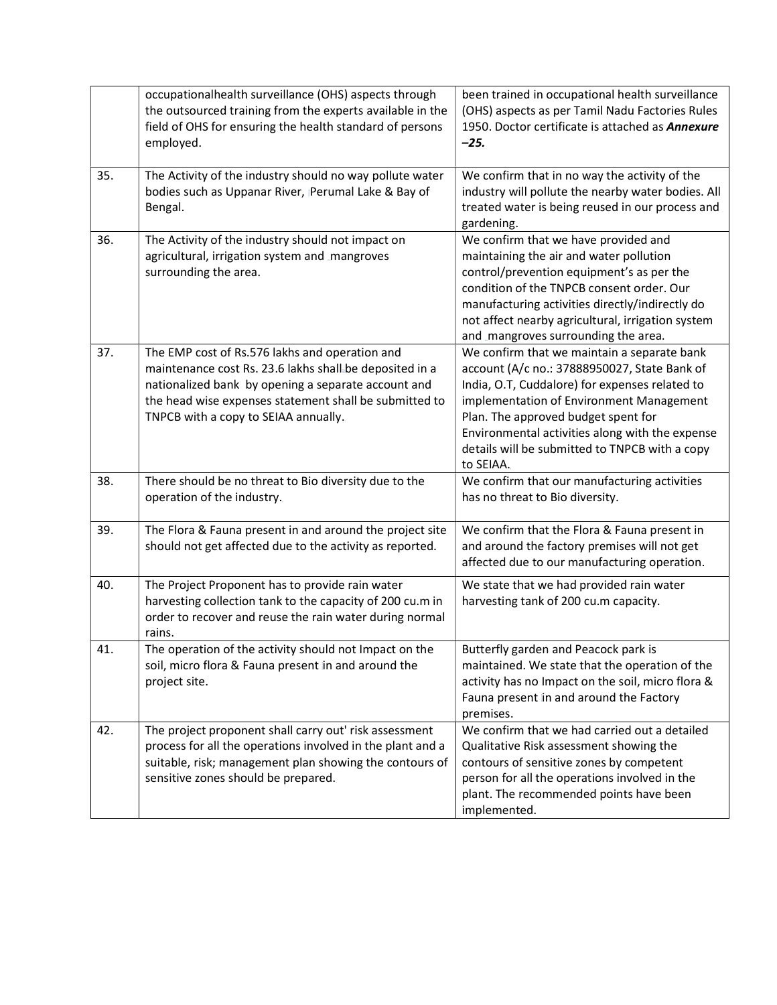|     | occupationalhealth surveillance (OHS) aspects through<br>the outsourced training from the experts available in the<br>field of OHS for ensuring the health standard of persons<br>employed.                                                                        | been trained in occupational health surveillance<br>(OHS) aspects as per Tamil Nadu Factories Rules<br>1950. Doctor certificate is attached as Annexure<br>$-25.$                                                                                                                                                                                  |
|-----|--------------------------------------------------------------------------------------------------------------------------------------------------------------------------------------------------------------------------------------------------------------------|----------------------------------------------------------------------------------------------------------------------------------------------------------------------------------------------------------------------------------------------------------------------------------------------------------------------------------------------------|
| 35. | The Activity of the industry should no way pollute water<br>bodies such as Uppanar River, Perumal Lake & Bay of<br>Bengal.                                                                                                                                         | We confirm that in no way the activity of the<br>industry will pollute the nearby water bodies. All<br>treated water is being reused in our process and<br>gardening.                                                                                                                                                                              |
| 36. | The Activity of the industry should not impact on<br>agricultural, irrigation system and mangroves<br>surrounding the area.                                                                                                                                        | We confirm that we have provided and<br>maintaining the air and water pollution<br>control/prevention equipment's as per the<br>condition of the TNPCB consent order. Our<br>manufacturing activities directly/indirectly do<br>not affect nearby agricultural, irrigation system<br>and mangroves surrounding the area.                           |
| 37. | The EMP cost of Rs.576 lakhs and operation and<br>maintenance cost Rs. 23.6 lakhs shall be deposited in a<br>nationalized bank by opening a separate account and<br>the head wise expenses statement shall be submitted to<br>TNPCB with a copy to SEIAA annually. | We confirm that we maintain a separate bank<br>account (A/c no.: 37888950027, State Bank of<br>India, O.T, Cuddalore) for expenses related to<br>implementation of Environment Management<br>Plan. The approved budget spent for<br>Environmental activities along with the expense<br>details will be submitted to TNPCB with a copy<br>to SEIAA. |
| 38. | There should be no threat to Bio diversity due to the<br>operation of the industry.                                                                                                                                                                                | We confirm that our manufacturing activities<br>has no threat to Bio diversity.                                                                                                                                                                                                                                                                    |
| 39. | The Flora & Fauna present in and around the project site<br>should not get affected due to the activity as reported.                                                                                                                                               | We confirm that the Flora & Fauna present in<br>and around the factory premises will not get<br>affected due to our manufacturing operation.                                                                                                                                                                                                       |
| 40. | The Project Proponent has to provide rain water<br>harvesting collection tank to the capacity of 200 cu.m in<br>order to recover and reuse the rain water during normal<br>rains.                                                                                  | We state that we had provided rain water<br>harvesting tank of 200 cu.m capacity.                                                                                                                                                                                                                                                                  |
| 41. | The operation of the activity should not Impact on the<br>soil, micro flora & Fauna present in and around the<br>project site.                                                                                                                                     | Butterfly garden and Peacock park is<br>maintained. We state that the operation of the<br>activity has no Impact on the soil, micro flora &<br>Fauna present in and around the Factory<br>premises.                                                                                                                                                |
| 42. | The project proponent shall carry out' risk assessment<br>process for all the operations involved in the plant and a<br>suitable, risk; management plan showing the contours of<br>sensitive zones should be prepared.                                             | We confirm that we had carried out a detailed<br>Qualitative Risk assessment showing the<br>contours of sensitive zones by competent<br>person for all the operations involved in the<br>plant. The recommended points have been<br>implemented.                                                                                                   |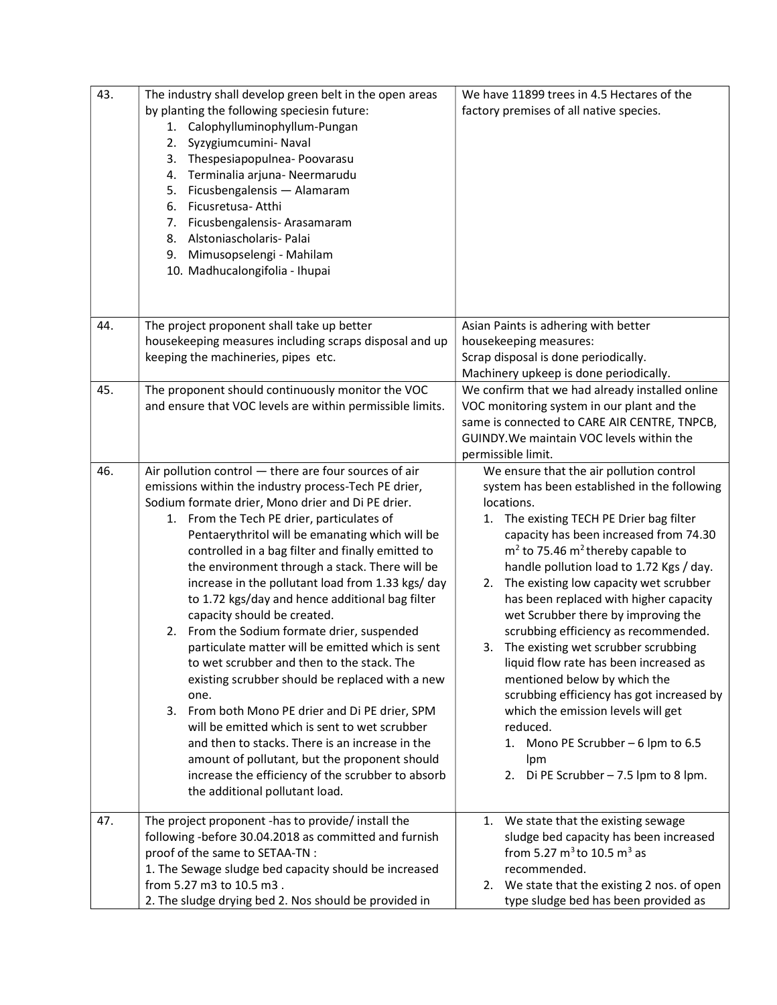| 43. | The industry shall develop green belt in the open areas<br>by planting the following speciesin future:<br>Calophylluminophyllum-Pungan<br>1.<br>2.<br>Syzygiumcumini- Naval<br>3. Thespesiapopulnea-Poovarasu<br>4. Terminalia arjuna- Neermarudu<br>5. Ficusbengalensis - Alamaram<br>6. Ficusretusa- Atthi<br>7. Ficusbengalensis-Arasamaram<br>8. Alstoniascholaris-Palai<br>9. Mimusopselengi - Mahilam<br>10. Madhucalongifolia - Ihupai                                                                                                                                                                                                                                                                                                                                                                                                                                                                                                                                                                                | We have 11899 trees in 4.5 Hectares of the<br>factory premises of all native species.                                                                                                                                                                                                                                                                                                                                                                                                                                                                                                                                                                                                                                                                                       |
|-----|------------------------------------------------------------------------------------------------------------------------------------------------------------------------------------------------------------------------------------------------------------------------------------------------------------------------------------------------------------------------------------------------------------------------------------------------------------------------------------------------------------------------------------------------------------------------------------------------------------------------------------------------------------------------------------------------------------------------------------------------------------------------------------------------------------------------------------------------------------------------------------------------------------------------------------------------------------------------------------------------------------------------------|-----------------------------------------------------------------------------------------------------------------------------------------------------------------------------------------------------------------------------------------------------------------------------------------------------------------------------------------------------------------------------------------------------------------------------------------------------------------------------------------------------------------------------------------------------------------------------------------------------------------------------------------------------------------------------------------------------------------------------------------------------------------------------|
| 44. | The project proponent shall take up better<br>housekeeping measures including scraps disposal and up<br>keeping the machineries, pipes etc.                                                                                                                                                                                                                                                                                                                                                                                                                                                                                                                                                                                                                                                                                                                                                                                                                                                                                  | Asian Paints is adhering with better<br>housekeeping measures:<br>Scrap disposal is done periodically.                                                                                                                                                                                                                                                                                                                                                                                                                                                                                                                                                                                                                                                                      |
|     |                                                                                                                                                                                                                                                                                                                                                                                                                                                                                                                                                                                                                                                                                                                                                                                                                                                                                                                                                                                                                              | Machinery upkeep is done periodically.                                                                                                                                                                                                                                                                                                                                                                                                                                                                                                                                                                                                                                                                                                                                      |
| 45. | The proponent should continuously monitor the VOC<br>and ensure that VOC levels are within permissible limits.                                                                                                                                                                                                                                                                                                                                                                                                                                                                                                                                                                                                                                                                                                                                                                                                                                                                                                               | We confirm that we had already installed online<br>VOC monitoring system in our plant and the<br>same is connected to CARE AIR CENTRE, TNPCB,<br>GUINDY. We maintain VOC levels within the<br>permissible limit.                                                                                                                                                                                                                                                                                                                                                                                                                                                                                                                                                            |
| 46. | Air pollution control - there are four sources of air<br>emissions within the industry process-Tech PE drier,<br>Sodium formate drier, Mono drier and Di PE drier.<br>1. From the Tech PE drier, particulates of<br>Pentaerythritol will be emanating which will be<br>controlled in a bag filter and finally emitted to<br>the environment through a stack. There will be<br>increase in the pollutant load from 1.33 kgs/ day<br>to 1.72 kgs/day and hence additional bag filter<br>capacity should be created.<br>2. From the Sodium formate drier, suspended<br>particulate matter will be emitted which is sent<br>to wet scrubber and then to the stack. The<br>existing scrubber should be replaced with a new<br>one.<br>3. From both Mono PE drier and Di PE drier, SPM<br>will be emitted which is sent to wet scrubber<br>and then to stacks. There is an increase in the<br>amount of pollutant, but the proponent should<br>increase the efficiency of the scrubber to absorb<br>the additional pollutant load. | We ensure that the air pollution control<br>system has been established in the following<br>locations.<br>1. The existing TECH PE Drier bag filter<br>capacity has been increased from 74.30<br>$m2$ to 75.46 m <sup>2</sup> thereby capable to<br>handle pollution load to 1.72 Kgs / day.<br>2. The existing low capacity wet scrubber<br>has been replaced with higher capacity<br>wet Scrubber there by improving the<br>scrubbing efficiency as recommended.<br>3. The existing wet scrubber scrubbing<br>liquid flow rate has been increased as<br>mentioned below by which the<br>scrubbing efficiency has got increased by<br>which the emission levels will get<br>reduced.<br>1. Mono PE Scrubber - 6 lpm to 6.5<br>lpm<br>2. Di PE Scrubber $-7.5$ lpm to 8 lpm. |
| 47. | The project proponent -has to provide/ install the<br>following -before 30.04.2018 as committed and furnish<br>proof of the same to SETAA-TN :<br>1. The Sewage sludge bed capacity should be increased<br>from 5.27 m3 to 10.5 m3.<br>2. The sludge drying bed 2. Nos should be provided in                                                                                                                                                                                                                                                                                                                                                                                                                                                                                                                                                                                                                                                                                                                                 | We state that the existing sewage<br>1.<br>sludge bed capacity has been increased<br>from 5.27 $m^3$ to 10.5 $m^3$ as<br>recommended.<br>2. We state that the existing 2 nos. of open<br>type sludge bed has been provided as                                                                                                                                                                                                                                                                                                                                                                                                                                                                                                                                               |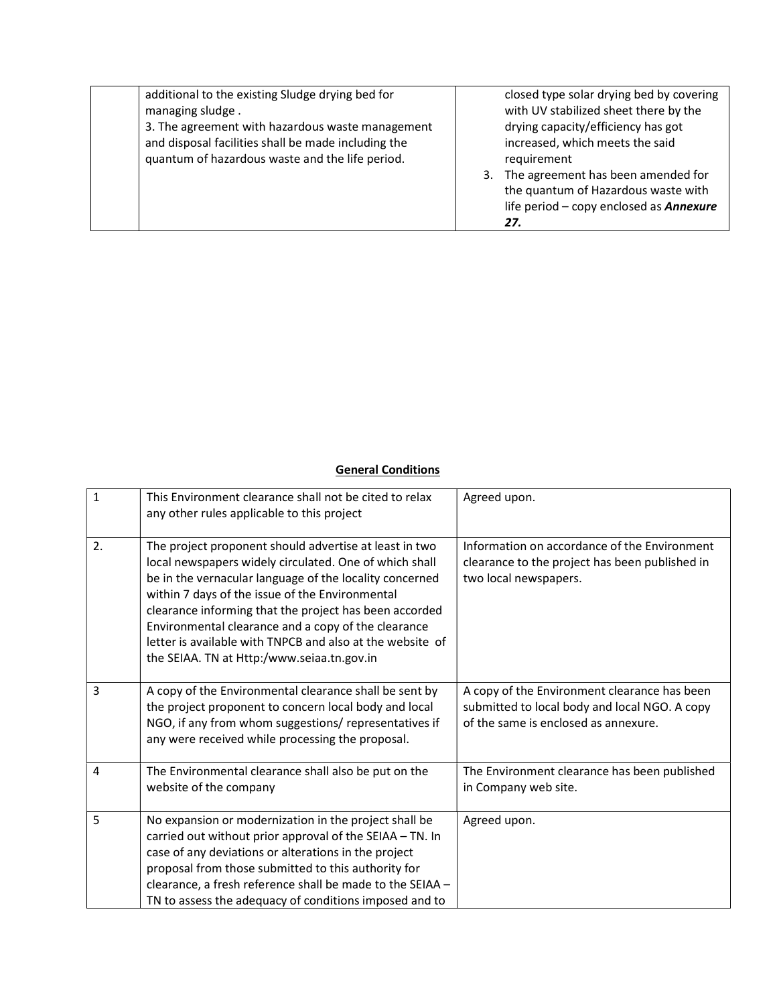| additional to the existing Sludge drying bed for<br>managing sludge.<br>3. The agreement with hazardous waste management<br>and disposal facilities shall be made including the<br>quantum of hazardous waste and the life period. | closed type solar drying bed by covering<br>with UV stabilized sheet there by the<br>drying capacity/efficiency has got<br>increased, which meets the said<br>requirement<br>The agreement has been amended for<br>3.<br>the quantum of Hazardous waste with<br>life period - copy enclosed as <b>Annexure</b><br>27. |
|------------------------------------------------------------------------------------------------------------------------------------------------------------------------------------------------------------------------------------|-----------------------------------------------------------------------------------------------------------------------------------------------------------------------------------------------------------------------------------------------------------------------------------------------------------------------|
|------------------------------------------------------------------------------------------------------------------------------------------------------------------------------------------------------------------------------------|-----------------------------------------------------------------------------------------------------------------------------------------------------------------------------------------------------------------------------------------------------------------------------------------------------------------------|

## **General Conditions**

| $\mathbf{1}$ | This Environment clearance shall not be cited to relax<br>any other rules applicable to this project                                                                                                                                                                                                                                                                                                                                                       | Agreed upon.                                                                                                                          |
|--------------|------------------------------------------------------------------------------------------------------------------------------------------------------------------------------------------------------------------------------------------------------------------------------------------------------------------------------------------------------------------------------------------------------------------------------------------------------------|---------------------------------------------------------------------------------------------------------------------------------------|
| 2.           | The project proponent should advertise at least in two<br>local newspapers widely circulated. One of which shall<br>be in the vernacular language of the locality concerned<br>within 7 days of the issue of the Environmental<br>clearance informing that the project has been accorded<br>Environmental clearance and a copy of the clearance<br>letter is available with TNPCB and also at the website of<br>the SEIAA. TN at Http:/www.seiaa.tn.gov.in | Information on accordance of the Environment<br>clearance to the project has been published in<br>two local newspapers.               |
| 3            | A copy of the Environmental clearance shall be sent by<br>the project proponent to concern local body and local<br>NGO, if any from whom suggestions/ representatives if<br>any were received while processing the proposal.                                                                                                                                                                                                                               | A copy of the Environment clearance has been<br>submitted to local body and local NGO. A copy<br>of the same is enclosed as annexure. |
| 4            | The Environmental clearance shall also be put on the<br>website of the company                                                                                                                                                                                                                                                                                                                                                                             | The Environment clearance has been published<br>in Company web site.                                                                  |
| 5            | No expansion or modernization in the project shall be<br>carried out without prior approval of the SEIAA - TN. In<br>case of any deviations or alterations in the project<br>proposal from those submitted to this authority for<br>clearance, a fresh reference shall be made to the SEIAA -<br>TN to assess the adequacy of conditions imposed and to                                                                                                    | Agreed upon.                                                                                                                          |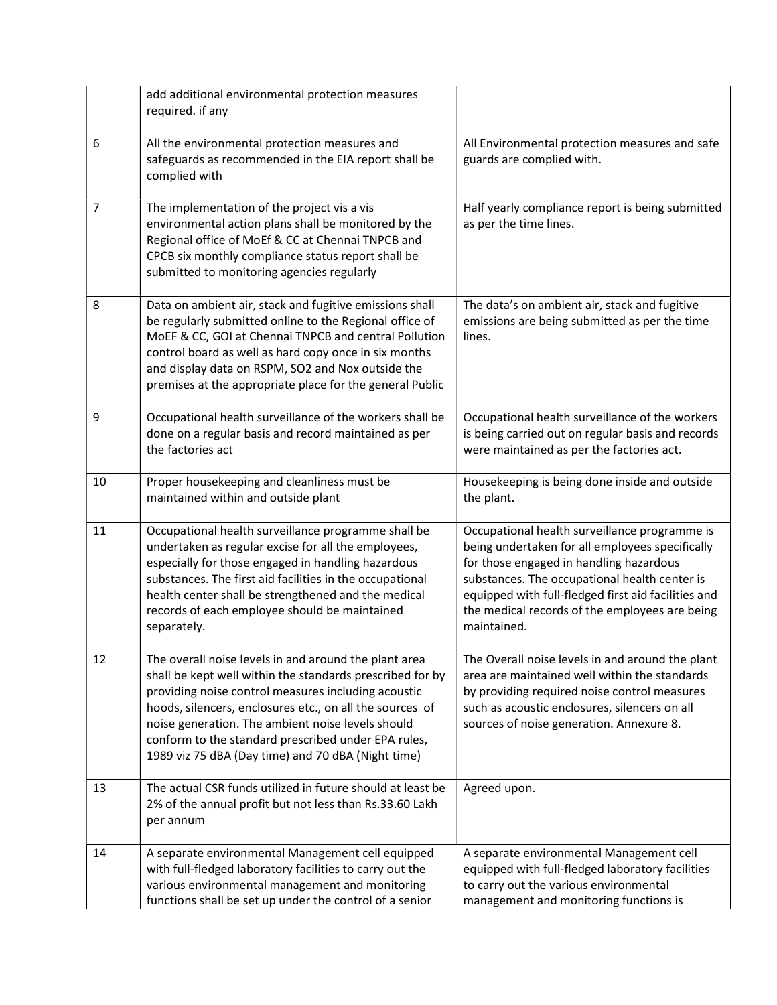|                | add additional environmental protection measures<br>required. if any                                                                                                                                                                                                                                                                                                                                    |                                                                                                                                                                                                                                                                                                                      |
|----------------|---------------------------------------------------------------------------------------------------------------------------------------------------------------------------------------------------------------------------------------------------------------------------------------------------------------------------------------------------------------------------------------------------------|----------------------------------------------------------------------------------------------------------------------------------------------------------------------------------------------------------------------------------------------------------------------------------------------------------------------|
| 6              | All the environmental protection measures and<br>safeguards as recommended in the EIA report shall be<br>complied with                                                                                                                                                                                                                                                                                  | All Environmental protection measures and safe<br>guards are complied with.                                                                                                                                                                                                                                          |
| $\overline{7}$ | The implementation of the project vis a vis<br>environmental action plans shall be monitored by the<br>Regional office of MoEf & CC at Chennai TNPCB and<br>CPCB six monthly compliance status report shall be<br>submitted to monitoring agencies regularly                                                                                                                                            | Half yearly compliance report is being submitted<br>as per the time lines.                                                                                                                                                                                                                                           |
| 8              | Data on ambient air, stack and fugitive emissions shall<br>be regularly submitted online to the Regional office of<br>MoEF & CC, GOI at Chennai TNPCB and central Pollution<br>control board as well as hard copy once in six months<br>and display data on RSPM, SO2 and Nox outside the<br>premises at the appropriate place for the general Public                                                   | The data's on ambient air, stack and fugitive<br>emissions are being submitted as per the time<br>lines.                                                                                                                                                                                                             |
| 9              | Occupational health surveillance of the workers shall be<br>done on a regular basis and record maintained as per<br>the factories act                                                                                                                                                                                                                                                                   | Occupational health surveillance of the workers<br>is being carried out on regular basis and records<br>were maintained as per the factories act.                                                                                                                                                                    |
| 10             | Proper housekeeping and cleanliness must be<br>maintained within and outside plant                                                                                                                                                                                                                                                                                                                      | Housekeeping is being done inside and outside<br>the plant.                                                                                                                                                                                                                                                          |
| 11             | Occupational health surveillance programme shall be<br>undertaken as regular excise for all the employees,<br>especially for those engaged in handling hazardous<br>substances. The first aid facilities in the occupational<br>health center shall be strengthened and the medical<br>records of each employee should be maintained<br>separately.                                                     | Occupational health surveillance programme is<br>being undertaken for all employees specifically<br>for those engaged in handling hazardous<br>substances. The occupational health center is<br>equipped with full-fledged first aid facilities and<br>the medical records of the employees are being<br>maintained. |
| 12             | The overall noise levels in and around the plant area<br>shall be kept well within the standards prescribed for by<br>providing noise control measures including acoustic<br>hoods, silencers, enclosures etc., on all the sources of<br>noise generation. The ambient noise levels should<br>conform to the standard prescribed under EPA rules,<br>1989 viz 75 dBA (Day time) and 70 dBA (Night time) | The Overall noise levels in and around the plant<br>area are maintained well within the standards<br>by providing required noise control measures<br>such as acoustic enclosures, silencers on all<br>sources of noise generation. Annexure 8.                                                                       |
| 13             | The actual CSR funds utilized in future should at least be<br>2% of the annual profit but not less than Rs.33.60 Lakh<br>per annum                                                                                                                                                                                                                                                                      | Agreed upon.                                                                                                                                                                                                                                                                                                         |
| 14             | A separate environmental Management cell equipped<br>with full-fledged laboratory facilities to carry out the<br>various environmental management and monitoring<br>functions shall be set up under the control of a senior                                                                                                                                                                             | A separate environmental Management cell<br>equipped with full-fledged laboratory facilities<br>to carry out the various environmental<br>management and monitoring functions is                                                                                                                                     |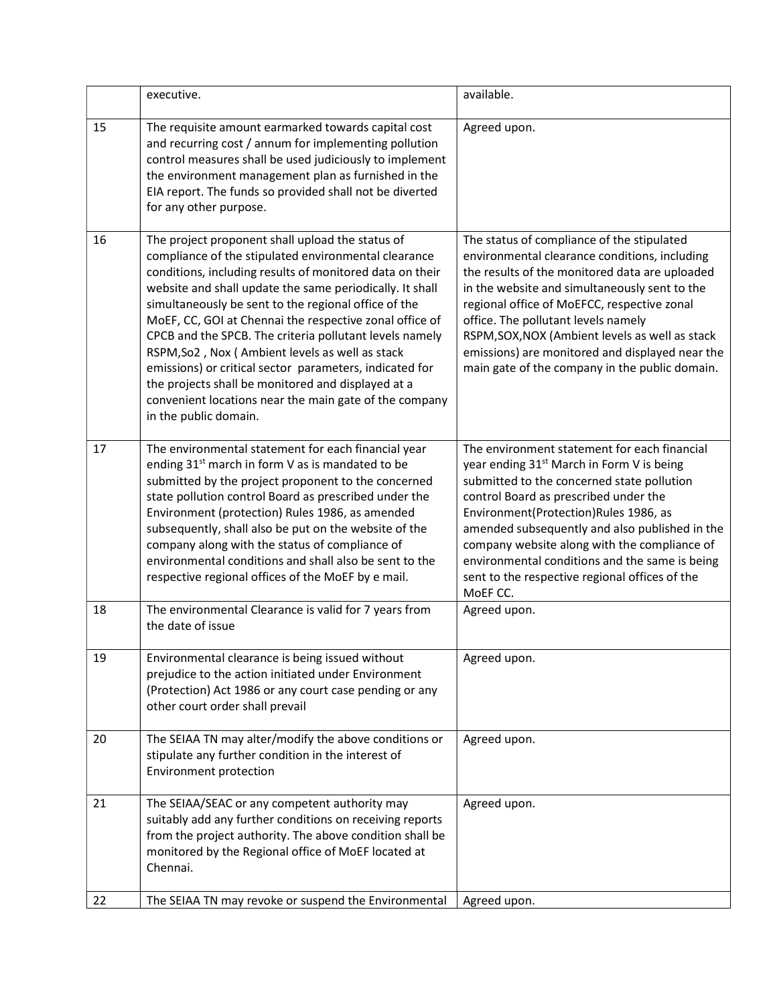|    | executive.                                                                                                                                                                                                                                                                                                                                                                                                                                                                                                                                                                                                                                                            | available.                                                                                                                                                                                                                                                                                                                                                                                                                                              |
|----|-----------------------------------------------------------------------------------------------------------------------------------------------------------------------------------------------------------------------------------------------------------------------------------------------------------------------------------------------------------------------------------------------------------------------------------------------------------------------------------------------------------------------------------------------------------------------------------------------------------------------------------------------------------------------|---------------------------------------------------------------------------------------------------------------------------------------------------------------------------------------------------------------------------------------------------------------------------------------------------------------------------------------------------------------------------------------------------------------------------------------------------------|
| 15 | The requisite amount earmarked towards capital cost<br>and recurring cost / annum for implementing pollution<br>control measures shall be used judiciously to implement<br>the environment management plan as furnished in the<br>EIA report. The funds so provided shall not be diverted<br>for any other purpose.                                                                                                                                                                                                                                                                                                                                                   | Agreed upon.                                                                                                                                                                                                                                                                                                                                                                                                                                            |
| 16 | The project proponent shall upload the status of<br>compliance of the stipulated environmental clearance<br>conditions, including results of monitored data on their<br>website and shall update the same periodically. It shall<br>simultaneously be sent to the regional office of the<br>MoEF, CC, GOI at Chennai the respective zonal office of<br>CPCB and the SPCB. The criteria pollutant levels namely<br>RSPM, So2, Nox (Ambient levels as well as stack<br>emissions) or critical sector parameters, indicated for<br>the projects shall be monitored and displayed at a<br>convenient locations near the main gate of the company<br>in the public domain. | The status of compliance of the stipulated<br>environmental clearance conditions, including<br>the results of the monitored data are uploaded<br>in the website and simultaneously sent to the<br>regional office of MoEFCC, respective zonal<br>office. The pollutant levels namely<br>RSPM, SOX, NOX (Ambient levels as well as stack<br>emissions) are monitored and displayed near the<br>main gate of the company in the public domain.            |
| 17 | The environmental statement for each financial year<br>ending 31 <sup>st</sup> march in form V as is mandated to be<br>submitted by the project proponent to the concerned<br>state pollution control Board as prescribed under the<br>Environment (protection) Rules 1986, as amended<br>subsequently, shall also be put on the website of the<br>company along with the status of compliance of<br>environmental conditions and shall also be sent to the<br>respective regional offices of the MoEF by e mail.                                                                                                                                                     | The environment statement for each financial<br>year ending 31 <sup>st</sup> March in Form V is being<br>submitted to the concerned state pollution<br>control Board as prescribed under the<br>Environment(Protection)Rules 1986, as<br>amended subsequently and also published in the<br>company website along with the compliance of<br>environmental conditions and the same is being<br>sent to the respective regional offices of the<br>MoEF CC. |
| 18 | The environmental Clearance is valid for 7 years from<br>the date of issue                                                                                                                                                                                                                                                                                                                                                                                                                                                                                                                                                                                            | Agreed upon.                                                                                                                                                                                                                                                                                                                                                                                                                                            |
| 19 | Environmental clearance is being issued without<br>prejudice to the action initiated under Environment<br>(Protection) Act 1986 or any court case pending or any<br>other court order shall prevail                                                                                                                                                                                                                                                                                                                                                                                                                                                                   | Agreed upon.                                                                                                                                                                                                                                                                                                                                                                                                                                            |
| 20 | The SEIAA TN may alter/modify the above conditions or<br>stipulate any further condition in the interest of<br>Environment protection                                                                                                                                                                                                                                                                                                                                                                                                                                                                                                                                 | Agreed upon.                                                                                                                                                                                                                                                                                                                                                                                                                                            |
| 21 | The SEIAA/SEAC or any competent authority may<br>suitably add any further conditions on receiving reports<br>from the project authority. The above condition shall be<br>monitored by the Regional office of MoEF located at<br>Chennai.                                                                                                                                                                                                                                                                                                                                                                                                                              | Agreed upon.                                                                                                                                                                                                                                                                                                                                                                                                                                            |
| 22 | The SEIAA TN may revoke or suspend the Environmental                                                                                                                                                                                                                                                                                                                                                                                                                                                                                                                                                                                                                  | Agreed upon.                                                                                                                                                                                                                                                                                                                                                                                                                                            |